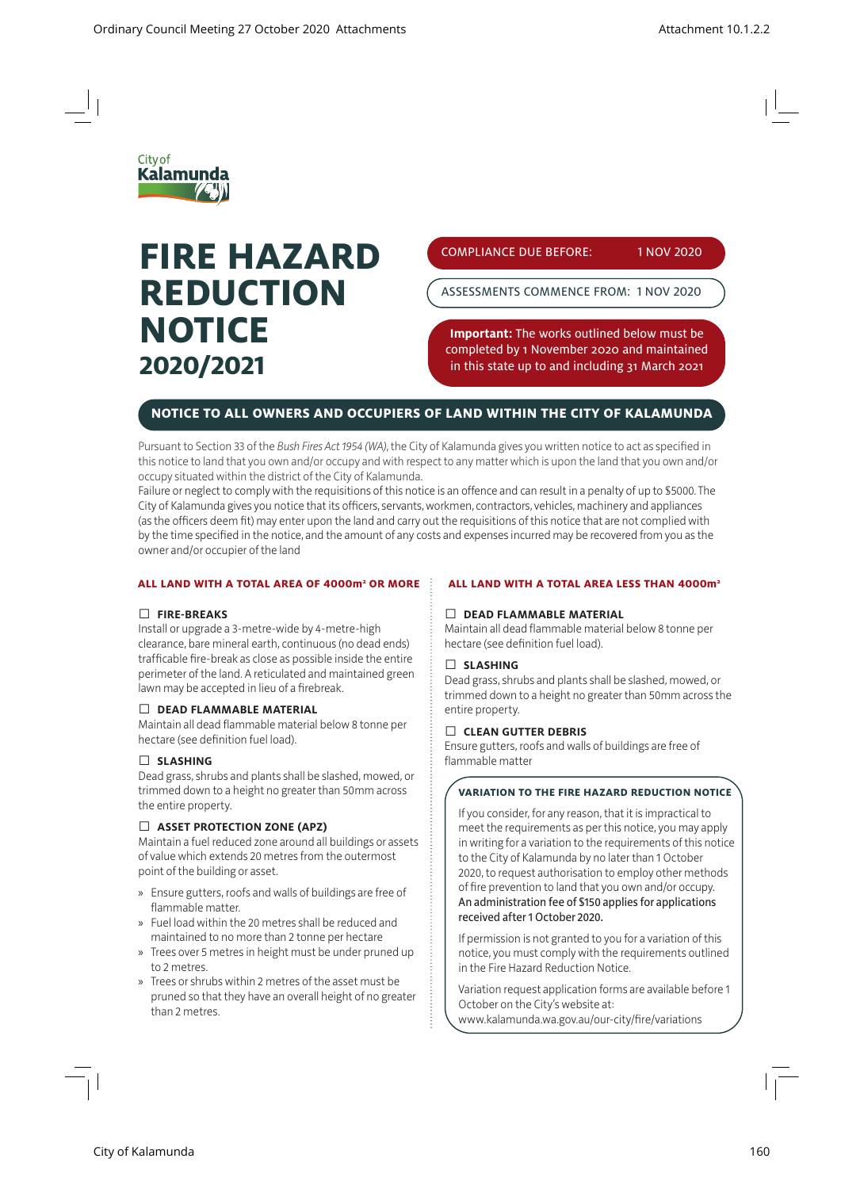

# **FIRE HAZARD REDUCTION NOTICE 2020/2021**

COMPLIANCE DUE BEFORE: 1 NOV 2020

ASSESSMENTS COMMENCE FROM: 1 NOV 2020

**Important:** The works outlined below must be completed by 1 November 2020 and maintained in this state up to and including 31 March 2021

## **NOTICE TO ALL OWNERS AND OCCUPIERS OF LAND WITHIN THE CITY OF KALAMUNDA**

Pursuant to Section 33 of the *Bush Fires Act 1954 (WA)*, the City of Kalamunda gives you written notice to act as specified in this notice to land that you own and/or occupy and with respect to any matter which is upon the land that you own and/or occupy situated within the district of the City of Kalamunda.

Failure or neglect to comply with the requisitions of this notice is an offence and can result in a penalty of up to \$5000. The City of Kalamunda gives you notice that its officers, servants, workmen, contractors, vehicles, machinery and appliances (as the officers deem fit) may enter upon the land and carry out the requisitions of this notice that are not complied with by the time specified in the notice, and the amount of any costs and expenses incurred may be recovered from you as the owner and/or occupier of the land

#### **ALL LAND WITH A TOTAL AREA OF 4000m2 OR MORE**

#### Ƚ **FIRE-BREAKS**

Install or upgrade a 3-metre-wide by 4-metre-high clearance, bare mineral earth, continuous (no dead ends) trafficable fire-break as close as possible inside the entire perimeter of the land. A reticulated and maintained green lawn may be accepted in lieu of a firebreak.

#### Ƚ **DEAD FLAMMABLE MATERIAL**

Maintain all dead flammable material below 8 tonne per hectare (see definition fuel load).

#### Ƚ **SLASHING**

Dead grass, shrubs and plants shall be slashed, mowed, or trimmed down to a height no greater than 50mm across the entire property.

#### Ƚ **ASSET PROTECTION ZONE (APZ)**

Maintain a fuel reduced zone around all buildings or assets of value which extends 20 metres from the outermost point of the building or asset.

- » Ensure gutters, roofs and walls of buildings are free of flammable matter.
- » Fuel load within the 20 metres shall be reduced and maintained to no more than 2 tonne per hectare
- » Trees over 5 metres in height must be under pruned up to 2 metres.
- » Trees or shrubs within 2 metres of the asset must be pruned so that they have an overall height of no greater than 2 metres.

#### **ALL LAND WITH A TOTAL AREA LESS THAN 4000m2**

#### Ƚ **DEAD FLAMMABLE MATERIAL**

Maintain all dead flammable material below 8 tonne per hectare (see definition fuel load).

#### Ƚ **SLASHING**

Dead grass, shrubs and plants shall be slashed, mowed, or trimmed down to a height no greater than 50mm across the entire property.

#### Ƚ **CLEAN GUTTER DEBRIS**

Ensure gutters, roofs and walls of buildings are free of flammable matter

#### **VARIATION TO THE FIRE HAZARD REDUCTION NOTICE**

If you consider, for any reason, that it is impractical to meet the requirements as per this notice, you may apply in writing for a variation to the requirements of this notice to the City of Kalamunda by no later than 1 October 2020, to request authorisation to employ other methods of fire prevention to land that you own and/or occupy. An administration fee of \$150 applies for applications received after 1 October 2020.

If permission is not granted to you for a variation of this notice, you must comply with the requirements outlined in the Fire Hazard Reduction Notice.

Variation request application forms are available before 1 October on the City's website at: www.kalamunda.wa.gov.au/our-city/fire/variations